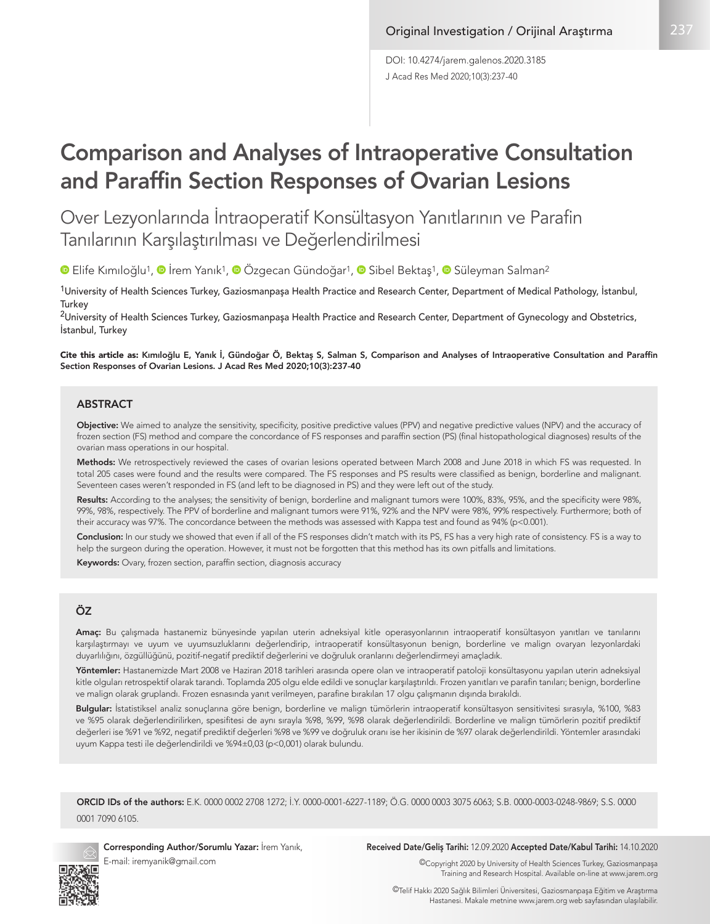J Acad Res Med 2020;10(3):237-40 DOI: 10.4274/jarem.galenos.2020.3185

# Comparison and Analyses of Intraoperative Consultation and Paraffin Section Responses of Ovarian Lesions

Over Lezyonlarında İntraoperatif Konsültasyon Yanıtlarının ve Parafin Tanılarının Karşılaştırılması ve Değerlendirilmesi

**Elife Kımıloğlu1, © İrem Yanık1, © Özgecan Gündoğar1, © Sibel Bektaş1, © Süleyman Salman<sup>2</sup>** 

<sup>1</sup>University of Health Sciences Turkey, Gaziosmanpaşa Health Practice and Research Center, Department of Medical Pathology, İstanbul, **Turkey** 

<sup>2</sup>University of Health Sciences Turkey, Gaziosmanpasa Health Practice and Research Center, Department of Gynecology and Obstetrics, İstanbul, Turkey

Cite this article as: Kımıloğlu E, Yanık İ, Gündoğar Ö, Bektaş S, Salman S, Comparison and Analyses of Intraoperative Consultation and Paraffin Section Responses of Ovarian Lesions. J Acad Res Med 2020;10(3):237-40

#### ABSTRACT

Objective: We aimed to analyze the sensitivity, specificity, positive predictive values (PPV) and negative predictive values (NPV) and the accuracy of frozen section (FS) method and compare the concordance of FS responses and paraffin section (PS) (final histopathological diagnoses) results of the ovarian mass operations in our hospital.

Methods: We retrospectively reviewed the cases of ovarian lesions operated between March 2008 and June 2018 in which FS was requested. In total 205 cases were found and the results were compared. The FS responses and PS results were classified as benign, borderline and malignant. Seventeen cases weren't responded in FS (and left to be diagnosed in PS) and they were left out of the study.

Results: According to the analyses; the sensitivity of benign, borderline and malignant tumors were 100%, 83%, 95%, and the specificity were 98%, 99%, 98%, respectively. The PPV of borderline and malignant tumors were 91%, 92% and the NPV were 98%, 99% respectively. Furthermore; both of their accuracy was 97%. The concordance between the methods was assessed with Kappa test and found as 94% (p<0.001).

Conclusion: In our study we showed that even if all of the FS responses didn't match with its PS, FS has a very high rate of consistency. FS is a way to help the surgeon during the operation. However, it must not be forgotten that this method has its own pitfalls and limitations.

Keywords: Ovary, frozen section, paraffin section, diagnosis accuracy

#### ÖZ

Amaç: Bu çalışmada hastanemiz bünyesinde yapılan uterin adneksiyal kitle operasyonlarının intraoperatif konsültasyon yanıtları ve tanılarını karşılaştırmayı ve uyum ve uyumsuzluklarını değerlendirip, intraoperatif konsültasyonun benign, borderline ve malign ovaryan lezyonlardaki duyarlılığını, özgüllüğünü, pozitif-negatif prediktif değerlerini ve doğruluk oranlarını değerlendirmeyi amaçladık.

Yöntemler: Hastanemizde Mart 2008 ve Haziran 2018 tarihleri arasında opere olan ve intraoperatif patoloji konsültasyonu yapılan uterin adneksiyal kitle olguları retrospektif olarak tarandı. Toplamda 205 olgu elde edildi ve sonuçlar karşılaştırıldı. Frozen yanıtları ve parafin tanıları; benign, borderline ve malign olarak gruplandı. Frozen esnasında yanıt verilmeyen, parafine bırakılan 17 olgu çalışmanın dışında bırakıldı.

Bulgular: İstatistiksel analiz sonuçlarına göre benign, borderline ve malign tümörlerin intraoperatif konsültasyon sensitivitesi sırasıyla, %100, %83 ve %95 olarak değerlendirilirken, spesifitesi de aynı sırayla %98, %99, %98 olarak değerlendirildi. Borderline ve malign tümörlerin pozitif prediktif değerleri ise %91 ve %92, negatif prediktif değerleri %98 ve %99 ve doğruluk oranı ise her ikisinin de %97 olarak değerlendirildi. Yöntemler arasındaki uyum Kappa testi ile değerlendirildi ve %94±0,03 (p<0,001) olarak bulundu.

ORCID IDs of the authors: E.K. 0000 0002 2708 1272; İ.Y. 0000-0001-6227-1189; Ö.G. 0000 0003 3075 6063; S.B. 0000-0003-0248-9869; S.S. 0000 0001 7090 6105.



Corresponding Author/Sorumlu Yazar: İrem Yanık, E-mail: iremyanik@gmail.com

#### Received Date/Geliş Tarihi: 12.09.2020 Accepted Date/Kabul Tarihi: 14.10.2020

©Copyright 2020 by University of Health Sciences Turkey, Gaziosmanpaşa Training and Research Hospital. Available on-line at www.jarem.org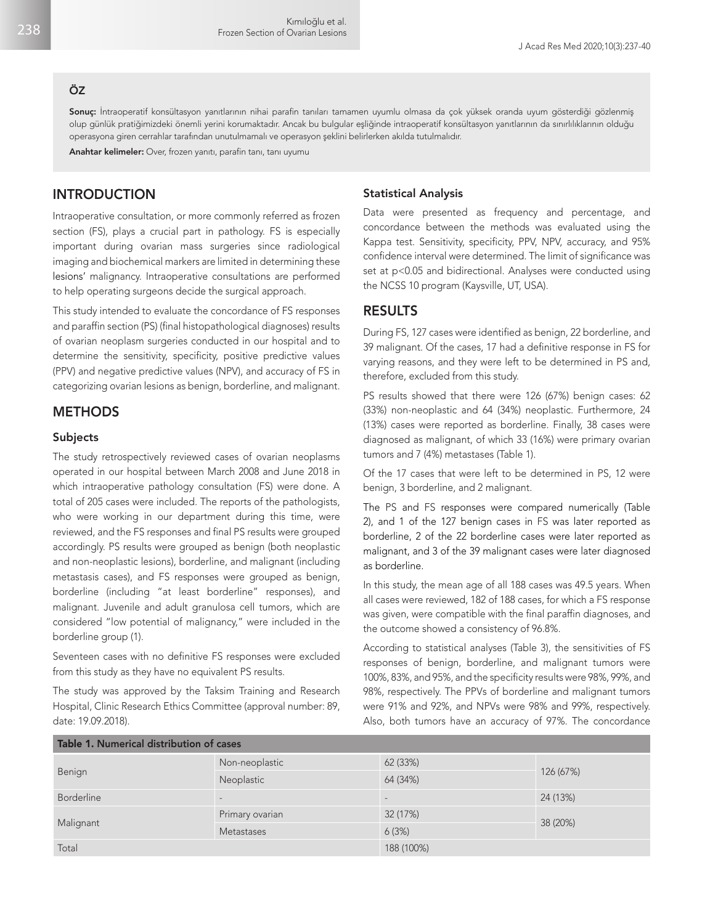#### ÖZ

Sonuç: İntraoperatif konsültasyon yanıtlarının nihai parafin tanıları tamamen uyumlu olmasa da çok yüksek oranda uyum gösterdiği gözlenmiş olup günlük pratiğimizdeki önemli yerini korumaktadır. Ancak bu bulgular eşliğinde intraoperatif konsültasyon yanıtlarının da sınırlılıklarının olduğu operasyona giren cerrahlar tarafından unutulmamalı ve operasyon şeklini belirlerken akılda tutulmalıdır.

Anahtar kelimeler: Over, frozen yanıtı, parafin tanı, tanı uyumu

## INTRODUCTION

Intraoperative consultation, or more commonly referred as frozen section (FS), plays a crucial part in pathology. FS is especially important during ovarian mass surgeries since radiological imaging and biochemical markers are limited in determining these lesions' malignancy. Intraoperative consultations are performed to help operating surgeons decide the surgical approach.

This study intended to evaluate the concordance of FS responses and paraffin section (PS) (final histopathological diagnoses) results of ovarian neoplasm surgeries conducted in our hospital and to determine the sensitivity, specificity, positive predictive values (PPV) and negative predictive values (NPV), and accuracy of FS in categorizing ovarian lesions as benign, borderline, and malignant.

## **METHODS**

#### Subjects

The study retrospectively reviewed cases of ovarian neoplasms operated in our hospital between March 2008 and June 2018 in which intraoperative pathology consultation (FS) were done. A total of 205 cases were included. The reports of the pathologists, who were working in our department during this time, were reviewed, and the FS responses and final PS results were grouped accordingly. PS results were grouped as benign (both neoplastic and non-neoplastic lesions), borderline, and malignant (including metastasis cases), and FS responses were grouped as benign, borderline (including "at least borderline" responses), and malignant. Juvenile and adult granulosa cell tumors, which are considered "low potential of malignancy," were included in the borderline group (1).

Seventeen cases with no definitive FS responses were excluded from this study as they have no equivalent PS results.

The study was approved by the Taksim Training and Research Hospital, Clinic Research Ethics Committee (approval number: 89, date: 19.09.2018).

#### Statistical Analysis

Data were presented as frequency and percentage, and concordance between the methods was evaluated using the Kappa test. Sensitivity, specificity, PPV, NPV, accuracy, and 95% confidence interval were determined. The limit of significance was set at p<0.05 and bidirectional. Analyses were conducted using the NCSS 10 program (Kaysville, UT, USA).

## RESULTS

During FS, 127 cases were identified as benign, 22 borderline, and 39 malignant. Of the cases, 17 had a definitive response in FS for varying reasons, and they were left to be determined in PS and, therefore, excluded from this study.

PS results showed that there were 126 (67%) benign cases: 62 (33%) non-neoplastic and 64 (34%) neoplastic. Furthermore, 24 (13%) cases were reported as borderline. Finally, 38 cases were diagnosed as malignant, of which 33 (16%) were primary ovarian tumors and 7 (4%) metastases (Table 1).

Of the 17 cases that were left to be determined in PS, 12 were benign, 3 borderline, and 2 malignant.

The PS and FS responses were compared numerically (Table 2), and 1 of the 127 benign cases in FS was later reported as borderline, 2 of the 22 borderline cases were later reported as malignant, and 3 of the 39 malignant cases were later diagnosed as borderline.

In this study, the mean age of all 188 cases was 49.5 years. When all cases were reviewed, 182 of 188 cases, for which a FS response was given, were compatible with the final paraffin diagnoses, and the outcome showed a consistency of 96.8%.

According to statistical analyses (Table 3), the sensitivities of FS responses of benign, borderline, and malignant tumors were 100%, 83%, and 95%, and the specificity results were 98%, 99%, and 98%, respectively. The PPVs of borderline and malignant tumors were 91% and 92%, and NPVs were 98% and 99%, respectively. Also, both tumors have an accuracy of 97%. The concordance

| Table 1. Numerical distribution of cases |                   |                 |           |  |  |  |
|------------------------------------------|-------------------|-----------------|-----------|--|--|--|
| Benign                                   | Non-neoplastic    | 62 (33%)        | 126 (67%) |  |  |  |
|                                          | Neoplastic        | 64 (34%)        |           |  |  |  |
| <b>Borderline</b>                        | $\qquad \qquad -$ | $\qquad \qquad$ | 24 (13%)  |  |  |  |
| Malignant                                | Primary ovarian   | 32 (17%)        | 38 (20%)  |  |  |  |
|                                          | <b>Metastases</b> | 6(3%)           |           |  |  |  |
| Total                                    |                   | 188 (100%)      |           |  |  |  |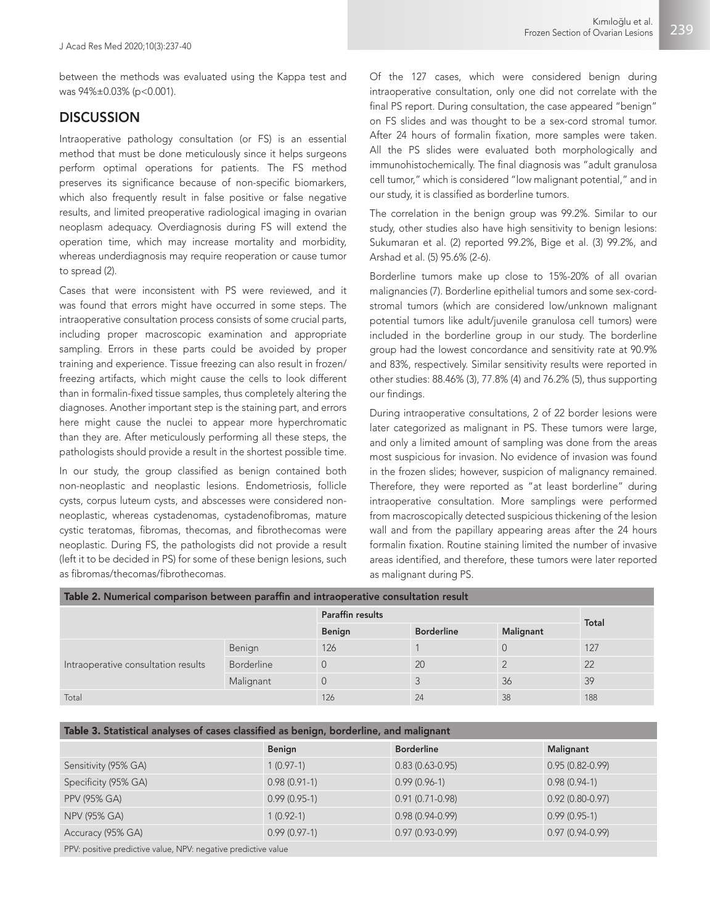between the methods was evaluated using the Kappa test and was 94%±0.03% (p<0.001).

## **DISCUSSION**

Intraoperative pathology consultation (or FS) is an essential method that must be done meticulously since it helps surgeons perform optimal operations for patients. The FS method preserves its significance because of non-specific biomarkers, which also frequently result in false positive or false negative results, and limited preoperative radiological imaging in ovarian neoplasm adequacy. Overdiagnosis during FS will extend the operation time, which may increase mortality and morbidity, whereas underdiagnosis may require reoperation or cause tumor to spread (2).

Cases that were inconsistent with PS were reviewed, and it was found that errors might have occurred in some steps. The intraoperative consultation process consists of some crucial parts, including proper macroscopic examination and appropriate sampling. Errors in these parts could be avoided by proper training and experience. Tissue freezing can also result in frozen/ freezing artifacts, which might cause the cells to look different than in formalin-fixed tissue samples, thus completely altering the diagnoses. Another important step is the staining part, and errors here might cause the nuclei to appear more hyperchromatic than they are. After meticulously performing all these steps, the pathologists should provide a result in the shortest possible time.

In our study, the group classified as benign contained both non-neoplastic and neoplastic lesions. Endometriosis, follicle cysts, corpus luteum cysts, and abscesses were considered nonneoplastic, whereas cystadenomas, cystadenofibromas, mature cystic teratomas, fibromas, thecomas, and fibrothecomas were neoplastic. During FS, the pathologists did not provide a result (left it to be decided in PS) for some of these benign lesions, such as fibromas/thecomas/fibrothecomas.

Of the 127 cases, which were considered benign during intraoperative consultation, only one did not correlate with the final PS report. During consultation, the case appeared "benign" on FS slides and was thought to be a sex-cord stromal tumor. After 24 hours of formalin fixation, more samples were taken. All the PS slides were evaluated both morphologically and immunohistochemically. The final diagnosis was "adult granulosa cell tumor," which is considered "low malignant potential," and in our study, it is classified as borderline tumors.

The correlation in the benign group was 99.2%. Similar to our study, other studies also have high sensitivity to benign lesions: Sukumaran et al. (2) reported 99.2%, Bige et al. (3) 99.2%, and Arshad et al. (5) 95.6% (2-6).

Borderline tumors make up close to 15%-20% of all ovarian malignancies (7). Borderline epithelial tumors and some sex-cordstromal tumors (which are considered low/unknown malignant potential tumors like adult/juvenile granulosa cell tumors) were included in the borderline group in our study. The borderline group had the lowest concordance and sensitivity rate at 90.9% and 83%, respectively. Similar sensitivity results were reported in other studies: 88.46% (3), 77.8% (4) and 76.2% (5), thus supporting our findings.

During intraoperative consultations, 2 of 22 border lesions were later categorized as malignant in PS. These tumors were large, and only a limited amount of sampling was done from the areas most suspicious for invasion. No evidence of invasion was found in the frozen slides; however, suspicion of malignancy remained. Therefore, they were reported as "at least borderline" during intraoperative consultation. More samplings were performed from macroscopically detected suspicious thickening of the lesion wall and from the papillary appearing areas after the 24 hours formalin fixation. Routine staining limited the number of invasive areas identified, and therefore, these tumors were later reported as malignant during PS.

| Table 2. Numerical comparison between paraffin and intraoperative consultation result |                   |                         |                   |           |       |  |  |  |
|---------------------------------------------------------------------------------------|-------------------|-------------------------|-------------------|-----------|-------|--|--|--|
|                                                                                       |                   | <b>Paraffin results</b> |                   |           | Total |  |  |  |
|                                                                                       |                   | Benign                  | <b>Borderline</b> | Malignant |       |  |  |  |
| Intraoperative consultation results                                                   | Benign            | 126                     |                   |           | 127   |  |  |  |
|                                                                                       | <b>Borderline</b> | $\Omega$                | 20                |           | 22    |  |  |  |
|                                                                                       | Malignant         | $\Omega$                |                   | 36        | 39    |  |  |  |
| Total                                                                                 |                   | 126                     | 24                | 38        | 188   |  |  |  |

### Table 3. Statistical analyses of cases classified as benign, borderline, and malignant

|                      | Benign         | <b>Borderline</b> | Malignant           |
|----------------------|----------------|-------------------|---------------------|
| Sensitivity (95% GA) | $1(0.97-1)$    | $0.83(0.63-0.95)$ | $0.95(0.82 - 0.99)$ |
| Specificity (95% GA) | $0.98(0.91-1)$ | $0.99(0.96-1)$    | $0.98(0.94-1)$      |
| <b>PPV (95% GA)</b>  | $0.99(0.95-1)$ | $0.91(0.71-0.98)$ | $0.92(0.80 - 0.97)$ |
| NPV (95% GA)         | $1(0.92-1)$    | $0.98(0.94-0.99)$ | $0.99(0.95-1)$      |
| Accuracy (95% GA)    | $0.99(0.97-1)$ | $0.97(0.93-0.99)$ | $0.97(0.94-0.99)$   |

PPV: positive predictive value, NPV: negative predictive value